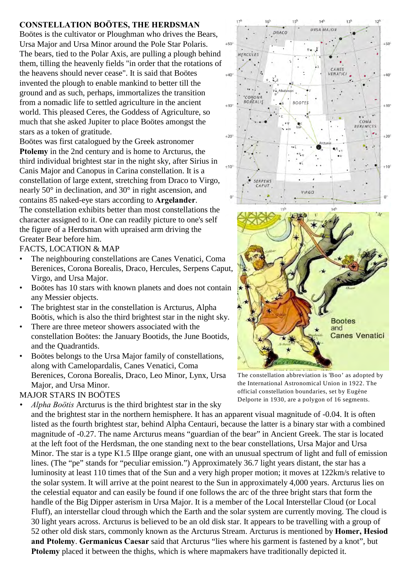## **CONSTELLATION BOÖTES, THE HERDSMAN**

Boötes is the cultivator or Ploughman who drives the Bears, Ursa Major and Ursa Minor around the Pole Star Polaris. The bears, tied to the Polar Axis, are pulling a plough behind them, tilling the heavenly fields "in order that the rotations of the heavens should never cease". It is said that Boötes invented the plough to enable mankind to better till the ground and as such, perhaps, immortalizes the transition from a nomadic life to settled agriculture in the ancient world. This pleased Ceres, the Goddess of Agriculture, so much that she asked Jupiter to place Boötes amongst the stars as a token of gratitude.

Boötes was first catalogued by the Greek astronomer **Ptolemy** in the 2nd century and is home to Arcturus, the third individual brightest star in the night sky, after Sirius in Canis Major and Canopus in Carina constellation. It is a constellation of large extent, stretching from Draco to Virgo, nearly 50° in declination, and 30° in right ascension, and contains 85 naked-eye stars according to **Argelander**. The constellation exhibits better than most constellations the character assigned to it. One can readily picture to one's self the figure of a Herdsman with upraised arm driving the Greater Bear before him.

FACTS, LOCATION & MAP

- The neighbouring constellations are Canes Venatici, Coma Berenices, Corona Borealis, Draco, Hercules, Serpens Caput, Virgo, and Ursa Major.
- Boötes has 10 stars with known planets and does not contain any Messier objects.
- The brightest star in the constellation is Arcturus, Alpha Boötis, which is also the third brightest star in the night sky.
- There are three meteor showers associated with the constellation Boötes: the January Bootids, the June Bootids, and the Quadrantids.
- Boötes belongs to the Ursa Major family of constellations, along with Camelopardalis, Canes Venatici, Coma Berenices, Corona Borealis, Draco, Leo Minor, Lynx, Ursa Major, and Ursa Minor.

## MAJOR STARS IN BOÖTES

*• Alpha Boötis* Arcturus is the third brightest star in the sky

and the brightest star in the northern hemisphere. It has an apparent visual magnitude of -0.04. It is often listed as the fourth brightest star, behind Alpha Centauri, because the latter is a binary star with a combined magnitude of -0.27. The name Arcturus means "guardian of the bear" in Ancient Greek. The star is located at the left foot of the Herdsman, the one standing next to the bear constellations, Ursa Major and Ursa Minor. The star is a type K1.5 IIIpe orange giant, one with an unusual spectrum of light and full of emission lines. (The "pe" stands for "peculiar emission.") Approximately 36.7 light years distant, the star has a luminosity at least 110 times that of the Sun and a very high proper motion; it moves at 122km/s relative to the solar system. It will arrive at the point nearest to the Sun in approximately 4,000 years. Arcturus lies on the celestial equator and can easily be found if one follows the arc of the three bright stars that form the handle of the Big Dipper asterism in Ursa Major. It is a member of the Local Interstellar Cloud (or Local Fluff), an interstellar cloud through which the Earth and the solar system are currently moving. The cloud is 30 light years across. Arcturus is believed to be an old disk star. It appears to be travelling with a group of 52 other old disk stars, commonly known as the Arcturus Stream. Arcturus is mentioned by **Homer, Hesiod and Ptolemy**. **Germanicus Caesar** said that Arcturus "lies where his garment is fastened by a knot", but **Ptolemy** placed it between the thighs, which is where mapmakers have traditionally depicted it.



The constellation abbreviation is 'Boo' as adopted by the International Astronomical Union in 1922. The official constellation boundaries, set by Eugène Delporte in 1930, are a polygon of 16 segments.